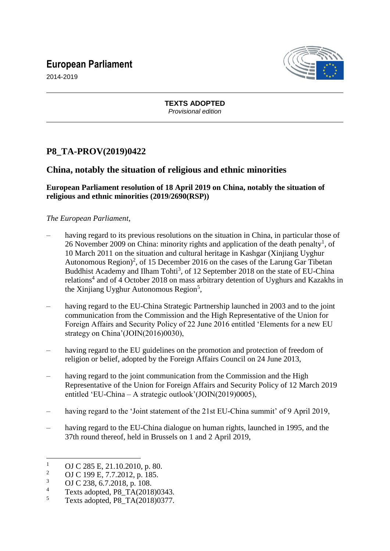# **European Parliament**



2014-2019

**TEXTS ADOPTED** *Provisional edition*

## **P8\_TA-PROV(2019)0422**

## **China, notably the situation of religious and ethnic minorities**

### **European Parliament resolution of 18 April 2019 on China, notably the situation of religious and ethnic minorities (2019/2690(RSP))**

#### *The European Parliament*,

- having regard to its previous resolutions on the situation in China, in particular those of 26 November 2009 on China: minority rights and application of the death penalty<sup>1</sup>, of 10 March 2011 on the situation and cultural heritage in Kashgar (Xinjiang Uyghur Autonomous Region)<sup>2</sup>, of 15 December 2016 on the cases of the Larung Gar Tibetan Buddhist Academy and Ilham Tohti<sup>3</sup>, of 12 September 2018 on the state of EU-China relations<sup>4</sup> and of 4 October 2018 on mass arbitrary detention of Uyghurs and Kazakhs in the Xinjiang Uyghur Autonomous Region<sup>5</sup>,
- having regard to the EU-China Strategic Partnership launched in 2003 and to the joint communication from the Commission and the High Representative of the Union for Foreign Affairs and Security Policy of 22 June 2016 entitled 'Elements for a new EU strategy on China'(JOIN(2016)0030),
- having regard to the EU guidelines on the promotion and protection of freedom of religion or belief, adopted by the Foreign Affairs Council on 24 June 2013,
- having regard to the joint communication from the Commission and the High Representative of the Union for Foreign Affairs and Security Policy of 12 March 2019 entitled 'EU-China – A strategic outlook'(JOIN(2019)0005),
- having regard to the 'Joint statement of the 21st EU-China summit' of 9 April 2019,
- having regard to the EU-China dialogue on human rights, launched in 1995, and the 37th round thereof, held in Brussels on 1 and 2 April 2019,

 $\overline{a}$ 

 $\frac{1}{2}$  OJ C 285 E, 21.10.2010, p. 80.

<sup>&</sup>lt;sup>2</sup> OJ C 199 E, 7.7.2012, p. 185.

 $\frac{3}{4}$  OJ C 238, 6.7.2018, p. 108.

<sup>&</sup>lt;sup>4</sup> Texts adopted,  $P8_T\hat{A}(2018)0343$ .<br>  $T_{\text{avts}}$  adopted  $P8_T\hat{A}(2018)0377$ 

<sup>5</sup> Texts adopted, P8\_TA(2018)0377.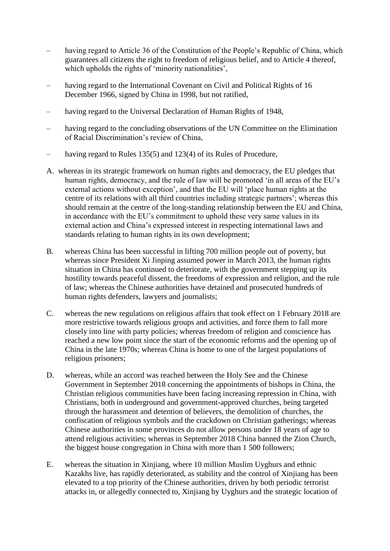- having regard to Article 36 of the Constitution of the People's Republic of China, which guarantees all citizens the right to freedom of religious belief, and to Article 4 thereof, which upholds the rights of 'minority nationalities',
- having regard to the International Covenant on Civil and Political Rights of 16 December 1966, signed by China in 1998, but not ratified,
- having regard to the Universal Declaration of Human Rights of 1948.
- having regard to the concluding observations of the UN Committee on the Elimination of Racial Discrimination's review of China,
- having regard to Rules 135(5) and 123(4) of its Rules of Procedure,
- A. whereas in its strategic framework on human rights and democracy, the EU pledges that human rights, democracy, and the rule of law will be promoted 'in all areas of the EU's external actions without exception', and that the EU will 'place human rights at the centre of its relations with all third countries including strategic partners'; whereas this should remain at the centre of the long-standing relationship between the EU and China, in accordance with the EU's commitment to uphold these very same values in its external action and China's expressed interest in respecting international laws and standards relating to human rights in its own development;
- B. whereas China has been successful in lifting 700 million people out of poverty, but whereas since President Xi Jinping assumed power in March 2013, the human rights situation in China has continued to deteriorate, with the government stepping up its hostility towards peaceful dissent, the freedoms of expression and religion, and the rule of law; whereas the Chinese authorities have detained and prosecuted hundreds of human rights defenders, lawyers and journalists;
- C. whereas the new regulations on religious affairs that took effect on 1 February 2018 are more restrictive towards religious groups and activities, and force them to fall more closely into line with party policies; whereas freedom of religion and conscience has reached a new low point since the start of the economic reforms and the opening up of China in the late 1970s; whereas China is home to one of the largest populations of religious prisoners;
- D. whereas, while an accord was reached between the Holy See and the Chinese Government in September 2018 concerning the appointments of bishops in China, the Christian religious communities have been facing increasing repression in China, with Christians, both in underground and government-approved churches, being targeted through the harassment and detention of believers, the demolition of churches, the confiscation of religious symbols and the crackdown on Christian gatherings; whereas Chinese authorities in some provinces do not allow persons under 18 years of age to attend religious activities; whereas in September 2018 China banned the Zion Church, the biggest house congregation in China with more than 1 500 followers;
- E. whereas the situation in Xinjiang, where 10 million Muslim Uyghurs and ethnic Kazakhs live, has rapidly deteriorated, as stability and the control of Xinjiang has been elevated to a top priority of the Chinese authorities, driven by both periodic terrorist attacks in, or allegedly connected to, Xinjiang by Uyghurs and the strategic location of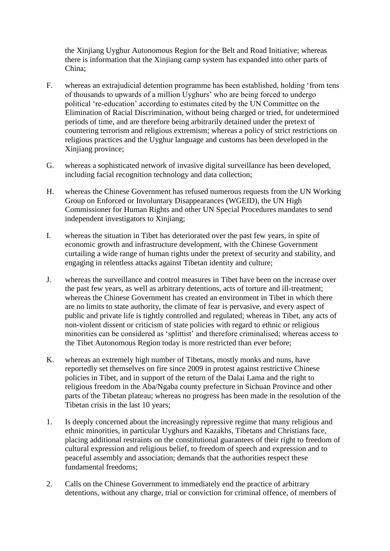the Xinjiang Uyghur Autonomous Region for the Belt and Road Initiative; whereas there is information that the Xinjiang camp system has expanded into other parts of China;

- F. whereas an extrajudicial detention programme has been established, holding 'from tens of thousands to upwards of a million Uyghurs' who are being forced to undergo political 're-education' according to estimates cited by the UN Committee on the Elimination of Racial Discrimination, without being charged or tried, for undetermined periods of time, and are therefore being arbitrarily detained under the pretext of countering terrorism and religious extremism; whereas a policy of strict restrictions on religious practices and the Uyghur language and customs has been developed in the Xinjiang province;
- G. whereas a sophisticated network of invasive digital surveillance has been developed, including facial recognition technology and data collection;
- H. whereas the Chinese Government has refused numerous requests from the UN Working Group on Enforced or Involuntary Disappearances (WGEID), the UN High Commissioner for Human Rights and other UN Special Procedures mandates to send independent investigators to Xinjiang;
- I. whereas the situation in Tibet has deteriorated over the past few years, in spite of economic growth and infrastructure development, with the Chinese Government curtailing a wide range of human rights under the pretext of security and stability, and engaging in relentless attacks against Tibetan identity and culture;
- J. whereas the surveillance and control measures in Tibet have been on the increase over the past few years, as well as arbitrary detentions, acts of torture and ill-treatment; whereas the Chinese Government has created an environment in Tibet in which there are no limits to state authority, the climate of fear is pervasive, and every aspect of public and private life is tightly controlled and regulated; whereas in Tibet, any acts of non-violent dissent or criticism of state policies with regard to ethnic or religious minorities can be considered as 'splittist' and therefore criminalised; whereas access to the Tibet Autonomous Region today is more restricted than ever before;
- K. whereas an extremely high number of Tibetans, mostly monks and nuns, have reportedly set themselves on fire since 2009 in protest against restrictive Chinese policies in Tibet, and in support of the return of the Dalai Lama and the right to religious freedom in the Aba/Ngaba county prefecture in Sichuan Province and other parts of the Tibetan plateau; whereas no progress has been made in the resolution of the Tibetan crisis in the last 10 years;
- 1. Is deeply concerned about the increasingly repressive regime that many religious and ethnic minorities, in particular Uyghurs and Kazakhs, Tibetans and Christians face, placing additional restraints on the constitutional guarantees of their right to freedom of cultural expression and religious belief, to freedom of speech and expression and to peaceful assembly and association; demands that the authorities respect these fundamental freedoms;
- 2. Calls on the Chinese Government to immediately end the practice of arbitrary detentions, without any charge, trial or conviction for criminal offence, of members of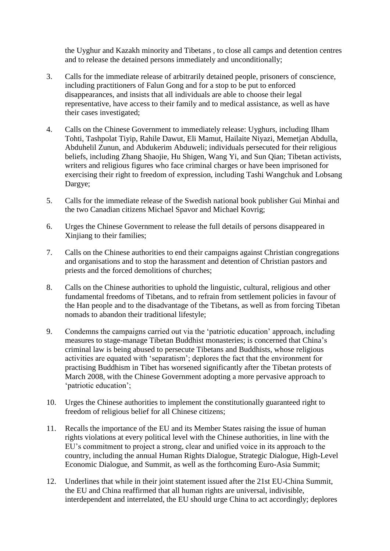the Uyghur and Kazakh minority and Tibetans , to close all camps and detention centres and to release the detained persons immediately and unconditionally;

- 3. Calls for the immediate release of arbitrarily detained people, prisoners of conscience, including practitioners of Falun Gong and for a stop to be put to enforced disappearances, and insists that all individuals are able to choose their legal representative, have access to their family and to medical assistance, as well as have their cases investigated;
- 4. Calls on the Chinese Government to immediately release: Uyghurs, including Ilham Tohti, Tashpolat Tiyip, Rahile Dawut, Eli Mamut, Hailaite Niyazi, Memetjan Abdulla, Abduhelil Zunun, and Abdukerim Abduweli; individuals persecuted for their religious beliefs, including Zhang Shaojie, Hu Shigen, Wang Yi, and Sun Qian; Tibetan activists, writers and religious figures who face criminal charges or have been imprisoned for exercising their right to freedom of expression, including Tashi Wangchuk and Lobsang Dargye;
- 5. Calls for the immediate release of the Swedish national book publisher Gui Minhai and the two Canadian citizens Michael Spavor and Michael Kovrig;
- 6. Urges the Chinese Government to release the full details of persons disappeared in Xinjiang to their families;
- 7. Calls on the Chinese authorities to end their campaigns against Christian congregations and organisations and to stop the harassment and detention of Christian pastors and priests and the forced demolitions of churches;
- 8. Calls on the Chinese authorities to uphold the linguistic, cultural, religious and other fundamental freedoms of Tibetans, and to refrain from settlement policies in favour of the Han people and to the disadvantage of the Tibetans, as well as from forcing Tibetan nomads to abandon their traditional lifestyle;
- 9. Condemns the campaigns carried out via the 'patriotic education' approach, including measures to stage-manage Tibetan Buddhist monasteries; is concerned that China's criminal law is being abused to persecute Tibetans and Buddhists, whose religious activities are equated with 'separatism'; deplores the fact that the environment for practising Buddhism in Tibet has worsened significantly after the Tibetan protests of March 2008, with the Chinese Government adopting a more pervasive approach to 'patriotic education';
- 10. Urges the Chinese authorities to implement the constitutionally guaranteed right to freedom of religious belief for all Chinese citizens;
- 11. Recalls the importance of the EU and its Member States raising the issue of human rights violations at every political level with the Chinese authorities, in line with the EU's commitment to project a strong, clear and unified voice in its approach to the country, including the annual Human Rights Dialogue, Strategic Dialogue, High-Level Economic Dialogue, and Summit, as well as the forthcoming Euro-Asia Summit;
- 12. Underlines that while in their joint statement issued after the 21st EU-China Summit, the EU and China reaffirmed that all human rights are universal, indivisible, interdependent and interrelated, the EU should urge China to act accordingly; deplores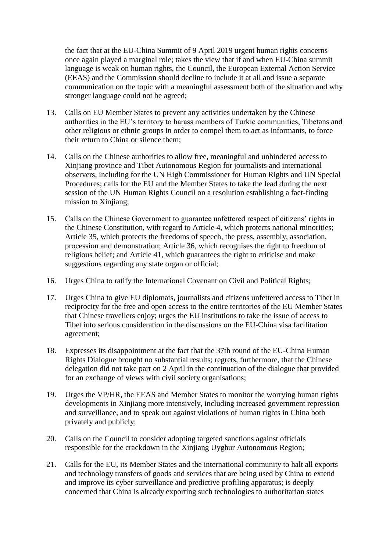the fact that at the EU-China Summit of 9 April 2019 urgent human rights concerns once again played a marginal role; takes the view that if and when EU-China summit language is weak on human rights, the Council, the European External Action Service (EEAS) and the Commission should decline to include it at all and issue a separate communication on the topic with a meaningful assessment both of the situation and why stronger language could not be agreed;

- 13. Calls on EU Member States to prevent any activities undertaken by the Chinese authorities in the EU's territory to harass members of Turkic communities, Tibetans and other religious or ethnic groups in order to compel them to act as informants, to force their return to China or silence them;
- 14. Calls on the Chinese authorities to allow free, meaningful and unhindered access to Xinjiang province and Tibet Autonomous Region for journalists and international observers, including for the UN High Commissioner for Human Rights and UN Special Procedures; calls for the EU and the Member States to take the lead during the next session of the UN Human Rights Council on a resolution establishing a fact-finding mission to Xinjiang;
- 15. Calls on the Chinese Government to guarantee unfettered respect of citizens' rights in the Chinese Constitution, with regard to Article 4, which protects national minorities; Article 35, which protects the freedoms of speech, the press, assembly, association, procession and demonstration; Article 36, which recognises the right to freedom of religious belief; and Article 41, which guarantees the right to criticise and make suggestions regarding any state organ or official;
- 16. Urges China to ratify the International Covenant on Civil and Political Rights;
- 17. Urges China to give EU diplomats, journalists and citizens unfettered access to Tibet in reciprocity for the free and open access to the entire territories of the EU Member States that Chinese travellers enjoy; urges the EU institutions to take the issue of access to Tibet into serious consideration in the discussions on the EU-China visa facilitation agreement;
- 18. Expresses its disappointment at the fact that the 37th round of the EU-China Human Rights Dialogue brought no substantial results; regrets, furthermore, that the Chinese delegation did not take part on 2 April in the continuation of the dialogue that provided for an exchange of views with civil society organisations;
- 19. Urges the VP/HR, the EEAS and Member States to monitor the worrying human rights developments in Xinjiang more intensively, including increased government repression and surveillance, and to speak out against violations of human rights in China both privately and publicly;
- 20. Calls on the Council to consider adopting targeted sanctions against officials responsible for the crackdown in the Xinjiang Uyghur Autonomous Region;
- 21. Calls for the EU, its Member States and the international community to halt all exports and technology transfers of goods and services that are being used by China to extend and improve its cyber surveillance and predictive profiling apparatus; is deeply concerned that China is already exporting such technologies to authoritarian states